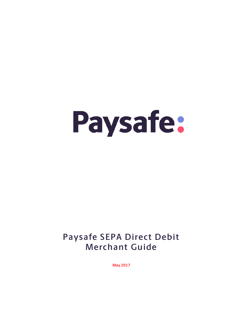# Paysafe:

# **Paysafe SEPA Direct Debit Merchant Guide**

**May 2017**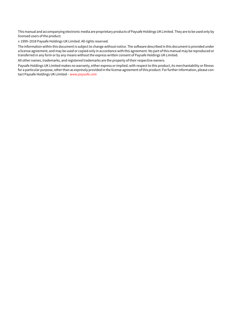This manual and accompanying electronic media are proprietary products of Paysafe Holdings UK Limited. They are to be used only by licensed users of the product.

© 1999–2018 Paysafe Holdings UK Limited. All rights reserved.

The information within this document is subject to change without notice. The software described in this document is provided under a license agreement, and may be used or copied only in accordance with this agreement. No part of this manual may be reproduced or transferred in any form or by any means without the express written consent of Paysafe Holdings UK Limited.

All other names, trademarks, and registered trademarks are the property of their respective owners.

Paysafe Holdings UK Limited makes no warranty, either express or implied, with respect to this product, its merchantability or fitness [for a particular purpose, other than as expressly provided in the license agreement of this product. For further information, please con](www.paysafe.com)[tact Paysafe Holdings UK Limited –](www.paysafe.com) www.paysafe.com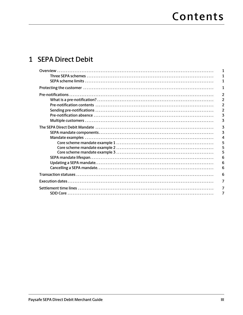# 1 SEPA Direct Debit

| 1                       |
|-------------------------|
|                         |
|                         |
| 1                       |
| 2                       |
| $\overline{\mathbf{c}}$ |
| $\overline{2}$          |
| $\overline{\mathbf{c}}$ |
| 3                       |
| 3                       |
| 3                       |
| 3                       |
| 4                       |
| 5                       |
| 5                       |
| 5                       |
| 6                       |
| 6                       |
| 6                       |
| 6                       |
| 7                       |
| 7<br>7                  |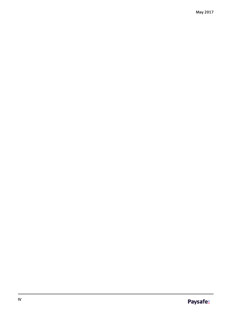May 2017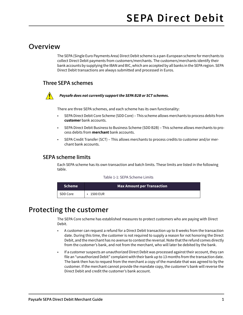# <span id="page-4-1"></span><span id="page-4-0"></span>**Overview**

The SEPA (Single Euro Payments Area) Direct Debit scheme is a pan-European scheme for merchants to collect Direct Debit payments from customers/merchants. The customers/merchants identify their bank accounts by supplying the IBAN and BIC, which are accepted by all banks in the SEPA region. SEPA Direct Debit transactions are always submitted and processed in Euros.

# <span id="page-4-2"></span>**Three SEPA schemes**



**Paysafe does not currently support the SEPA B2B or SCT schemes.** 

There are three SEPA schemes, and each scheme has its own functionality:

- SEPA Direct Debit Core Scheme (SDD Core) This scheme allows merchants to process debits from **customer** bank accounts.
- SEPA Direct Debit Business to Business Scheme (SDD B2B) This scheme allows merchants to process debits from **merchant** bank accounts.
- SEPA Credit Transfer (SCT) This allows merchants to process credits to customer and/or merchant bank accounts.

# <span id="page-4-3"></span>**SEPA scheme limits**

Each SEPA scheme has its own transaction and batch limits. These limits are listed in the following table.

| <b>Scheme</b> | <b>Max Amount per Transaction</b> |
|---------------|-----------------------------------|
| SDD Core      | 1500 EUR                          |

# <span id="page-4-4"></span>**Protecting the customer**

The SEPA Core scheme has established measures to protect customers who are paying with Direct Debit.

- A customer can request a refund for a Direct Debit transaction up to 8 weeks from the transaction date. During this time, the customer is not required to supply a reason for not honoring the Direct Debit, and the merchant has no avenue to contest the reversal. Note that the refund comes directly from the customer's bank, and not from the merchant, who will later be debited by the bank.
- If a customer suspects an unauthorized Direct Debit was processed against their account, they can file an "unauthorized Debit" complaint with their bank up to 13 months from the transaction date. The bank then has to request from the merchant a copy of the mandate that was agreed to by the customer. If the merchant cannot provide the mandate copy, the customer's bank will reverse the Direct Debit and credit the customer's bank account.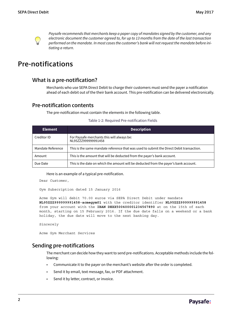

Paysafe recommends that merchants keep a paper copy of mandates signed by the customer, and any electronic document the customer agreed to, for up to 13 months from the date of the last transaction performed on the mandate. In most cases the customer's bank will not request the mandate before initiating a return.

# <span id="page-5-0"></span>**Pre-notifications**

### <span id="page-5-1"></span>**What is a pre-notification?**

Merchants who use SEPA Direct Debit to charge their customers must send the payer a notification ahead of each debit out of the their bank account. This pre-notification can be delivered electronically.

### <span id="page-5-2"></span>**Pre-notification contents**

The pre-notification must contain the elements in the following table.

### Table 1-2: Required Pre-notification Fields

| <b>Element</b>    | <b>Description</b>                                                                       |
|-------------------|------------------------------------------------------------------------------------------|
| Creditor ID       | For Paysafe merchants this will always be:<br>NL95ZZZ999999991458                        |
| Mandate Reference | This is the same mandate reference that was used to submit the Direct Debit transaction. |
| Amount            | This is the amount that will be deducted from the payer's bank account.                  |
| Due Date          | This is the date on which the amount will be deducted from the payer's bank account.     |

Here is an example of a typical pre-notification.

Dear Customer,

Gym Subscription dated 15 January 2016

Acme Gym will debit 70.00 euros via SEPA Direct Debit under mandate **NL95ZZZ999999991458-acmegym01** with the creditor identifier **NL95ZZZ999999991458** from your account with the **IBAN DEXX500400001234567890** at on the 15th of each month, starting on 15 February 2016. If the due date falls on a weekend or a bank holiday, the due date will move to the next banking day.

Sincerely

Acme Gym Merchant Services

### <span id="page-5-3"></span>**Sending pre-notifications**

The merchant can decide how they want to send pre-notifications. Acceptable methods include the following:

- Communicate it to the payer on the merchant's website after the order is completed.
- Send it by email, text message, fax, or PDF attachment.
- Send it by letter, contract, or invoice.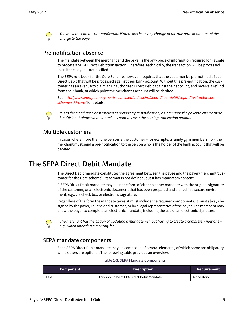

You must re-send the pre-notification if there has been any change to the due date or amount of the charge to the payer.

### <span id="page-6-0"></span>**Pre-notification absence**

The mandate between the merchant and the payer is the only piece of information required for Paysafe to process a SEPA Direct Debit transaction. Therefore, technically, the transaction will be processed even if the payer is not notified.

The SEPA rule book for the Core Scheme, however, requires that the customer be pre-notified of each Direct Debit that will be processed against their bank account. Without this pre-notification, the customer has an avenue to claim an unauthorized Direct Debit against their account, and receive a refund from their bank, at which point the merchant's account will be debited.

See [http://www.europeanpaymentscouncil.eu/index.cfm/sepa-direct-debit/sepa-direct-debit-core](http://www.europeanpaymentscouncil.eu/index.cfm/sepa-direct-debit/sepa-direct-debit-core-scheme-sdd-core/)[scheme-sdd-core/](http://www.europeanpaymentscouncil.eu/index.cfm/sepa-direct-debit/sepa-direct-debit-core-scheme-sdd-core/) for details.



It is in the merchant's best interest to provide a pre-notification, as it reminds the payer to ensure there is sufficient balance in their bank account to cover the coming transaction amount.

### <span id="page-6-1"></span>**Multiple customers**

In cases where more than one person is the customer – for example, a family gym membership – the merchant must send a pre-notification to the person who is the holder of the bank account that will be debited.

# <span id="page-6-2"></span>**The SEPA Direct Debit Mandate**

The Direct Debit mandate constitutes the agreement between the payee and the payer (merchant/customer for the Core scheme). Its format is not defined, but it has mandatory content.

A SEPA Direct Debit mandate may be in the form of either a paper mandate with the original signature of the customer, or an electronic document that has been prepared and signed in a secure environment, e.g., via check box or electronic signature.

Regardless of the form the mandate takes, it must include the required components. It must always be signed by the payer, i.e., the end customer, or by a legal representative of the payer. The merchant may allow the payer to complete an electronic mandate, including the use of an electronic signature.



The merchant has the option of updating a mandate without having to create a completely new one – e.g., when updating a monthly fee.

### <span id="page-6-3"></span>**SEPA mandate components**

Each SEPA Direct Debit mandate may be composed of several elements, of which some are obligatory while others are optional. The following table provides an overview.

| Table 1-3: SEPA Mandate Components |
|------------------------------------|
|                                    |

<span id="page-6-4"></span>

| Component | <b>Description</b>                          | Requirement |
|-----------|---------------------------------------------|-------------|
| Title     | This should be "SEPA Direct Debit Mandate". | Mandatory   |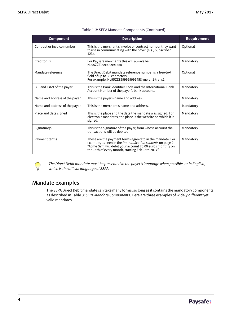| <b>Component</b>                                                                                                                                                                                                                                            | <b>Description</b>                                                                                                                          | <b>Requirement</b> |
|-------------------------------------------------------------------------------------------------------------------------------------------------------------------------------------------------------------------------------------------------------------|---------------------------------------------------------------------------------------------------------------------------------------------|--------------------|
| Contract or invoice number                                                                                                                                                                                                                                  | This is the merchant's invoice or contract number they want<br>to use in communicating with the payer (e.g., Subscriber<br>$123$ ).         | Optional           |
| Creditor ID                                                                                                                                                                                                                                                 | For Paysafe merchants this will always be:<br>NI 95777999999991458                                                                          | Mandatory          |
| Mandate reference                                                                                                                                                                                                                                           | The Direct Debit mandate reference number is a free-text<br>field of up to 35 characters.<br>For example: NL95ZZZ999999991458-merch1-trans1 | Optional           |
| BIC and IBAN of the payer                                                                                                                                                                                                                                   | This is the Bank Identifier Code and the International Bank<br>Account Number of the payer's bank account.                                  | Mandatory          |
| Name and address of the payer                                                                                                                                                                                                                               | This is the payer's name and address.                                                                                                       | Mandatory          |
| Name and address of the payee                                                                                                                                                                                                                               | This is the merchant's name and address.                                                                                                    | Mandatory          |
| Place and date signed                                                                                                                                                                                                                                       | This is the place and the date the mandate was signed. For<br>electronic mandates, the place is the website on which it is<br>signed.       | Mandatory          |
| Signature(s)                                                                                                                                                                                                                                                | This is the signature of the payer, from whose account the<br>transactions will be debited.                                                 | Mandatory          |
| These are the payment terms agreed to in the mandate. For<br>Payment terms<br>example, as seen in the Pre-notification contents on page 2:<br>"Acme Gym will debit your account 70.00 euros monthly on<br>the 15th of every month, starting Feb 15th 2017". |                                                                                                                                             | Mandatory          |

### Table 1-3: SEPA Mandate Components (Continued)



The Direct Debit mandate must be presented in the payer's language when possible, or in English, which is the official language of SEPA.

# <span id="page-7-0"></span>**Mandate examples**

The SEPA Direct Debit mandate can take many forms, so long as it contains the mandatory components as described in Table 3: [SEPA Mandate Components](#page-6-4). Here are three examples of widely different yet valid mandates.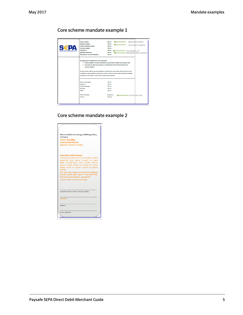<span id="page-8-0"></span>**Core scheme mandate example 1**

| <b>Single Euro Payments Area</b> | Name creditor:<br><b>Address creditor:</b><br>Postal code/city creditor:<br>Country creditor:<br>Creditor id:<br>Mandate reference:<br>Recurrent or one-off collection:                                                                                                                                                                                                                                                                                                                                     | <fill in=""><br/>dil in&gt;<br/>dil in&gt;<br/>cfill in&gt;<br/><fil in=""><br/><fill in=""><br/>dil in&gt;</fill></fil></fill> | Merchaht's name<br>Merchant's address<br>Provided by OP<br>Unique for this customer |
|----------------------------------|-------------------------------------------------------------------------------------------------------------------------------------------------------------------------------------------------------------------------------------------------------------------------------------------------------------------------------------------------------------------------------------------------------------------------------------------------------------------------------------------------------------|---------------------------------------------------------------------------------------------------------------------------------|-------------------------------------------------------------------------------------|
|                                  | By signing this mandate form, you authorise:<br>> <name creditor=""> to send instructions to your bank to debit your account and<br/>&gt; your bank to debit your account in accordance with the instructions from<br/><name creditor="">.<br/>As part of your rights, you are entitled to a refund from your bank under the terms and<br/>conditions of your agreement with your bank. A refund must be claimed within 8 weeks<br/>starting from the date on which your account was debited.</name></name> |                                                                                                                                 |                                                                                     |
|                                  | Name and initials:<br>Address:<br>Postal code/city:<br>Country:<br><b>IBAN:</b><br>Place and date<br>dilina                                                                                                                                                                                                                                                                                                                                                                                                 | <fil in=""><br/>cfill in&gt;<br/>dil in&gt;<br/>cfill in&gt;<br/>cfill in&gt;<br/>Signature<br/>dill in H</fil>                 | Customer's info                                                                     |

# <span id="page-8-1"></span>**Core scheme mandate example 2**

| Muster GmbH, Rosenweg2, 00000 Irgendwo,<br>Germany<br>Creditor identifier:<br>DE99ZZZ05678901234<br>Mandate reference: 543445                                                                                                                                                                                                                                                                                                                          |
|--------------------------------------------------------------------------------------------------------------------------------------------------------------------------------------------------------------------------------------------------------------------------------------------------------------------------------------------------------------------------------------------------------------------------------------------------------|
| SEPA direct debit mandate<br>I/we hereby authorise Muster GmbH to collect<br>payments from my/our account by direct<br>debit. Furthermore, I/we hereby instruct<br>my/our credit institute to honour the direct<br>debits cirawn on my/our account by [payee<br>name].<br>NB: I/we may request a refund of the debited<br>amount within eight weeks of the debit date.<br>The terms and conditions agreed with<br>my/our credit institute shall apply. |
| Surname and first name (Account holder)                                                                                                                                                                                                                                                                                                                                                                                                                |
| IBAN/BIC                                                                                                                                                                                                                                                                                                                                                                                                                                               |
| Address                                                                                                                                                                                                                                                                                                                                                                                                                                                |
| Place, signature                                                                                                                                                                                                                                                                                                                                                                                                                                       |
|                                                                                                                                                                                                                                                                                                                                                                                                                                                        |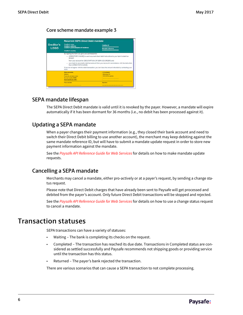### <span id="page-9-0"></span>**Core scheme mandate example 3**

|                           | <b>Recurrent SEPA Direct Debit mandate</b>                                                                                |                                                                                                      |  |
|---------------------------|---------------------------------------------------------------------------------------------------------------------------|------------------------------------------------------------------------------------------------------|--|
| <b>Creditor's</b><br>LOGO | Creditor's name<br>Creditor's address:<br>Creditor's postcode/place of residence:                                         | Creditor-ID<br>10000000000000000000<br>Mandate reference                                             |  |
|                           | Creditor's country:                                                                                                       |                                                                                                      |  |
|                           | By signing this form you give your permission to:                                                                         |                                                                                                      |  |
|                           | - (CREDITOR'S NAME) to send recurrent direct debit instructions to your bank to debit an<br>amount                        |                                                                                                      |  |
|                           | from your account for (DESCRIPTION OF SERVICE/ORDER) and                                                                  |                                                                                                      |  |
|                           | - your bank to recurrently debit an amount from your account in accordance with the instruction<br>from (CREDITOR'S NAME) |                                                                                                      |  |
|                           | bank                                                                                                                      | If you do not agree with this debit transaction, you can have the amount refunded by contacting your |  |
|                           | Name and initials                                                                                                         | : A Voorbeeld                                                                                        |  |
|                           | Address                                                                                                                   | : Adresses (23)                                                                                      |  |
|                           | Postcode and place name<br><b>Account number (IRAM)</b>                                                                   | : 1234 XX Woonplaats                                                                                 |  |
|                           | Bank identification (BIC)                                                                                                 | -----------------<br>                                                                                |  |
|                           | Place and date                                                                                                            | Signature                                                                                            |  |
|                           | -------------------                                                                                                       | -------------------                                                                                  |  |

# <span id="page-9-1"></span>**SEPA mandate lifespan**

The SEPA Direct Debit mandate is valid until it is revoked by the payer. However, a mandate will expire automatically if it has been dormant for 36 months (i.e., no debit has been processed against it).

# <span id="page-9-2"></span>**Updating a SEPA mandate**

When a payer changes their payment information (e.g., they closed their bank account and need to switch their Direct Debit billing to use another account), the merchant may keep debiting against the same mandate reference ID, but will have to submit a mandate update request in order to store new payment information against the mandate.

See the [Paysafe API Reference Guide for Web Services](https://developer.paysafe.com/fileadmin/content/pdfs/webservices/webservices_api_1.0.pdf) for details on how to make mandate update requests.

# <span id="page-9-3"></span>**Cancelling a SEPA mandate**

Merchants may cancel a mandate, either pro-actively or at a payer's request, by sending a change status request.

Please note that Direct Debit charges that have already been sent to Paysafe will get processed and debited from the payer's account. Only future Direct Debit transactions will be stopped and rejected.

See the [Paysafe API Reference Guide for Web Services](https://developer.paysafe.com/fileadmin/content/pdfs/webservices/webservices_api_1.0.pdf) for details on how to use a change status request to cancel a mandate.

# <span id="page-9-4"></span>**Transaction statuses**

SEPA transactions can have a variety of statuses:

- Waiting The bank is completing its checks on the request.
- Completed The transaction has reached its due date. Transactions in Completed status are considered as settled successfully and Paysafe recommends not shipping goods or providing service until the transaction has this status.
- Returned The payer's bank rejected the transaction.

There are various scenarios that can cause a SEPA transaction to not complete processing.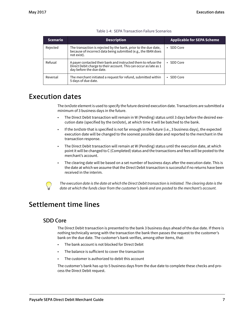| <b>Scenario</b> | <b>Description</b>                                                                                                                                              | <b>Applicable for SEPA Scheme</b> |
|-----------------|-----------------------------------------------------------------------------------------------------------------------------------------------------------------|-----------------------------------|
| Rejected        | The transaction is rejected by the bank, prior to the due date,<br>because of incorrect data being submitted (e.g., the IBAN does<br>not exist).                | SDD Core                          |
| Refusal         | A payer contacted their bank and instructed them to refuse the<br>Direct Debit charge to their account. This can occur as late as 1<br>day before the due date. | SDD Core                          |
| Reversal        | The merchant initiated a request for refund, submitted within<br>5 days of due date.                                                                            | SDD Core                          |

|  |  |  | Table 1-4: SEPA Transaction Failure Scenarios |  |  |
|--|--|--|-----------------------------------------------|--|--|
|--|--|--|-----------------------------------------------|--|--|

# <span id="page-10-0"></span>**Execution dates**

The txnDate element is used to specify the future desired execution date. Transactions are submitted a minimum of 3 business days in the future.

- The Direct Debit transaction will remain in W (Pending) status until 3 days before the desired execution date (specified by the txnDate), at which time it will be batched to the bank.
- If the txnDate that is specified is not far enough in the future (i.e., 3 business days), the expected execution date will be changed to the soonest possible date and reported to the merchant in the transaction response.
- The Direct Debit transaction will remain at W (Pending) status until the execution date, at which point it will be changed to C (Completed) status and the transactions and fees will be posted to the merchant's account.
- The clearing date will be based on a set number of business days after the execution date. This is the date at which we assume that the Direct Debit transaction is successful if no returns have been received in the interim.



The execution date is the date at which the Direct Debit transaction is initiated. The clearing date is the date at which the funds clear from the customer's bank and are posted to the merchant's account.

# <span id="page-10-1"></span>**Settlement time lines**

# <span id="page-10-2"></span>**SDD Core**

The Direct Debit transaction is presented to the bank 3 business days ahead of the due date. If there is nothing technically wrong with the transaction the bank then passes the request to the customer's bank on the due date. The customer's bank verifies, among other items, that:

- The bank account is not blocked for Direct Debit
- The balance is sufficient to cover the transaction
- The customer is authorized to debit this account

The customer's bank has up to 5 business days from the due date to complete these checks and process the Direct Debit request.